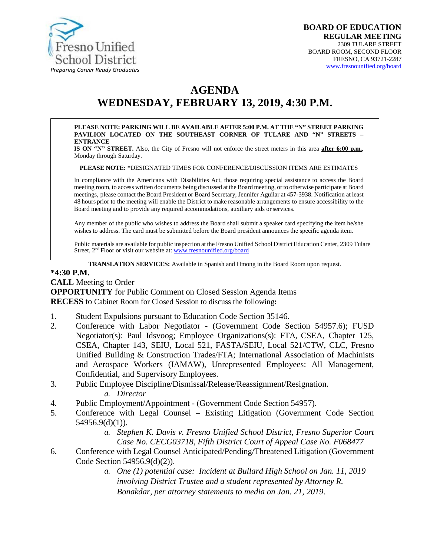

# **AGENDA WEDNESDAY, FEBRUARY 13, 2019, 4:30 P.M.**

**PLEASE NOTE: PARKING WILL BE AVAILABLE AFTER 5:00 P.M. AT THE "N" STREET PARKING PAVILION LOCATED ON THE SOUTHEAST CORNER OF TULARE AND "N" STREETS – ENTRANCE**

**IS ON "N" STREET.** Also, the City of Fresno will not enforce the street meters in this area **after 6:00 p.m.**, Monday through Saturday.

**PLEASE NOTE: \***DESIGNATED TIMES FOR CONFERENCE/DISCUSSION ITEMS ARE ESTIMATES

In compliance with the Americans with Disabilities Act, those requiring special assistance to access the Board meeting room, to access written documents being discussed at the Board meeting, or to otherwise participate atBoard meetings, please contact the Board President or Board Secretary, Jennifer Aguilar at 457-3938. Notification at least 48 hours prior to the meeting will enable the District to make reasonable arrangements to ensure accessibility to the Board meeting and to provide any required accommodations, auxiliary aids orservices.

Any member of the public who wishes to address the Board shall submit a speaker card specifying the item he/she wishes to address. The card must be submitted before the Board president announces the specific agenda item.

Public materials are available for public inspection at the Fresno Unified School District Education Center, 2309 Tulare Street, 2<sup>nd</sup> Floor or visit our website at: [www.fresnounified.org/board](http://www.fresnounified.org/board)

**TRANSLATION SERVICES:** Available in Spanish and Hmong in the Board Room upon request.

#### **\*4:30 P.M.**

**CALL** Meeting to Order **OPPORTUNITY** for Public Comment on Closed Session Agenda Items **RECESS** to Cabinet Room for Closed Session to discuss the following**:**

- 1. Student Expulsions pursuant to Education Code Section 35146.
- 2. Conference with Labor Negotiator (Government Code Section 54957.6); FUSD Negotiator(s): Paul Idsvoog; Employee Organizations(s): FTA, CSEA, Chapter 125, CSEA, Chapter 143, SEIU, Local 521, FASTA/SEIU, Local 521/CTW, CLC, Fresno Unified Building & Construction Trades/FTA; International Association of Machinists and Aerospace Workers (IAMAW), Unrepresented Employees: All Management, Confidential, and Supervisory Employees.
- 3. Public Employee Discipline/Dismissal/Release/Reassignment/Resignation. *a. Director*
- 4. Public Employment/Appointment (Government Code Section 54957).
- 5. Conference with Legal Counsel Existing Litigation (Government Code Section 54956.9(d)(1)).
	- *a. Stephen K. Davis v. Fresno Unified School District, Fresno Superior Court Case No. CECG03718, Fifth District Court of Appeal Case No. F068477*
- 6. Conference with Legal Counsel Anticipated/Pending/Threatened Litigation (Government Code Section 54956.9(d)(2)).
	- *a. One (1) potential case: Incident at Bullard High School on Jan. 11, 2019 involving District Trustee and a student represented by Attorney R. Bonakdar, per attorney statements to media on Jan. 21, 2019*.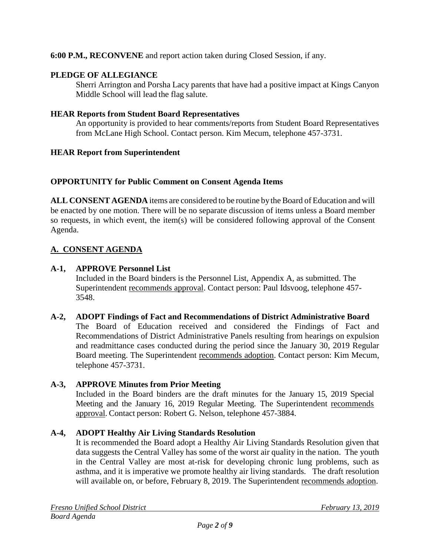### **6:00 P.M., RECONVENE** and report action taken during Closed Session, if any.

### **PLEDGE OF ALLEGIANCE**

Sherri Arrington and Porsha Lacy parents that have had a positive impact at Kings Canyon Middle School will lead the flag salute.

#### **HEAR Reports from Student Board Representatives**

An opportunity is provided to hear comments/reports from Student Board Representatives from McLane High School. Contact person. Kim Mecum, telephone 457-3731.

#### **HEAR Report from Superintendent**

### **OPPORTUNITY for Public Comment on Consent Agenda Items**

**ALL CONSENT AGENDA** items are considered to be routine bythe Board of Education and will be enacted by one motion. There will be no separate discussion of items unless a Board member so requests, in which event, the item(s) will be considered following approval of the Consent Agenda.

### **A. CONSENT AGENDA**

### **A-1, APPROVE Personnel List**

Included in the Board binders is the Personnel List, Appendix A, as submitted. The Superintendent recommends approval. Contact person: Paul Idsvoog, telephone 457-3548.

### **A-2, ADOPT Findings of Fact and Recommendations of District Administrative Board**

The Board of Education received and considered the Findings of Fact and Recommendations of District Administrative Panels resulting from hearings on expulsion and readmittance cases conducted during the period since the January 30, 2019 Regular Board meeting. The Superintendent recommends adoption. Contact person: Kim Mecum, telephone 457-3731.

### **A-3, APPROVE Minutes from Prior Meeting**

Included in the Board binders are the draft minutes for the January 15, 2019 Special Meeting and the January 16, 2019 Regular Meeting. The Superintendent recommends approval. Contact person: Robert G. Nelson, telephone 457-3884.

### **A-4, ADOPT Healthy Air Living Standards Resolution**

It is recommended the Board adopt a Healthy Air Living Standards Resolution given that data suggests the Central Valley has some of the worst air quality in the nation. The youth in the Central Valley are most at-risk for developing chronic lung problems, such as asthma, and it is imperative we promote healthy air living standards. The draft resolution will available on, or before, February 8, 2019. The Superintendent recommends adoption.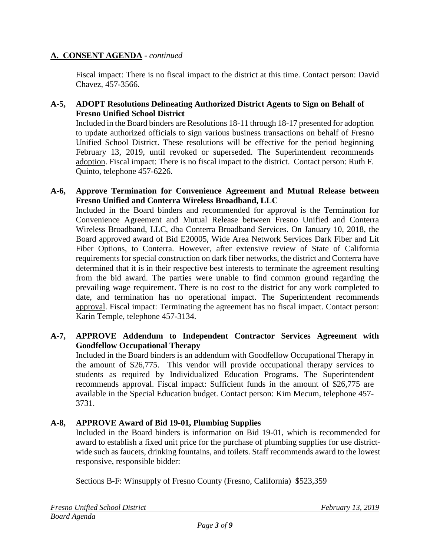Fiscal impact: There is no fiscal impact to the district at this time. Contact person: David Chavez, 457-3566.

### **A-5, ADOPT Resolutions Delineating Authorized District Agents to Sign on Behalf of Fresno Unified School District**

Included in the Board binders are Resolutions 18-11 through 18-17 presented for adoption to update authorized officials to sign various business transactions on behalf of Fresno Unified School District. These resolutions will be effective for the period beginning February 13, 2019, until revoked or superseded. The Superintendent recommends adoption. Fiscal impact: There is no fiscal impact to the district. Contact person: Ruth F. Quinto, telephone 457-6226.

### **A-6, Approve Termination for Convenience Agreement and Mutual Release between Fresno Unified and Conterra Wireless Broadband, LLC**

Included in the Board binders and recommended for approval is the Termination for Convenience Agreement and Mutual Release between Fresno Unified and Conterra Wireless Broadband, LLC, dba Conterra Broadband Services. On January 10, 2018, the Board approved award of Bid E20005, Wide Area Network Services Dark Fiber and Lit Fiber Options, to Conterra. However, after extensive review of State of California requirements for special construction on dark fiber networks, the district and Conterra have determined that it is in their respective best interests to terminate the agreement resulting from the bid award. The parties were unable to find common ground regarding the prevailing wage requirement. There is no cost to the district for any work completed to date, and termination has no operational impact. The Superintendent recommends approval. Fiscal impact: Terminating the agreement has no fiscal impact. Contact person: Karin Temple, telephone 457-3134.

### **A-7, APPROVE Addendum to Independent Contractor Services Agreement with Goodfellow Occupational Therapy**

Included in the Board binders is an addendum with Goodfellow Occupational Therapy in the amount of \$26,775. This vendor will provide occupational therapy services to students as required by Individualized Education Programs. The Superintendent recommends approval. Fiscal impact: Sufficient funds in the amount of \$26,775 are available in the Special Education budget. Contact person: Kim Mecum, telephone 457- 3731.

### **A-8, APPROVE Award of Bid 19-01, Plumbing Supplies**

Included in the Board binders is information on Bid 19-01, which is recommended for award to establish a fixed unit price for the purchase of plumbing supplies for use districtwide such as faucets, drinking fountains, and toilets. Staff recommends award to the lowest responsive, responsible bidder:

Sections B-F: Winsupply of Fresno County (Fresno, California) \$523,359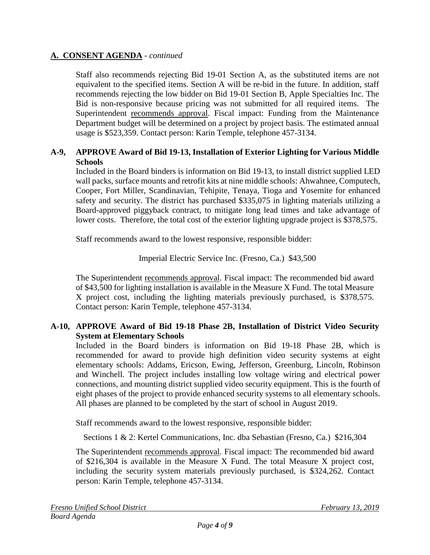Staff also recommends rejecting Bid 19-01 Section A, as the substituted items are not equivalent to the specified items. Section A will be re-bid in the future. In addition, staff recommends rejecting the low bidder on Bid 19-01 Section B, Apple Specialties Inc. The Bid is non-responsive because pricing was not submitted for all required items. The Superintendent recommends approval. Fiscal impact: Funding from the Maintenance Department budget will be determined on a project by project basis. The estimated annual usage is \$523,359. Contact person: Karin Temple, telephone 457-3134.

### **A-9, APPROVE Award of Bid 19-13, Installation of Exterior Lighting for Various Middle Schools**

Included in the Board binders is information on Bid 19-13, to install district supplied LED wall packs, surface mounts and retrofit kits at nine middle schools: Ahwahnee, Computech, Cooper, Fort Miller, Scandinavian, Tehipite, Tenaya, Tioga and Yosemite for enhanced safety and security. The district has purchased \$335,075 in lighting materials utilizing a Board-approved piggyback contract, to mitigate long lead times and take advantage of lower costs. Therefore, the total cost of the exterior lighting upgrade project is \$378,575.

Staff recommends award to the lowest responsive, responsible bidder:

### Imperial Electric Service Inc. (Fresno, Ca.) \$43,500

The Superintendent recommends approval. Fiscal impact: The recommended bid award of \$43,500 for lighting installation is available in the Measure X Fund. The total Measure X project cost, including the lighting materials previously purchased, is \$378,575. Contact person: Karin Temple, telephone 457-3134.

### **A-10, APPROVE Award of Bid 19-18 Phase 2B, Installation of District Video Security System at Elementary Schools**

Included in the Board binders is information on Bid 19-18 Phase 2B, which is recommended for award to provide high definition video security systems at eight elementary schools: Addams, Ericson, Ewing, Jefferson, Greenburg, Lincoln, Robinson and Winchell. The project includes installing low voltage wiring and electrical power connections, and mounting district supplied video security equipment. This is the fourth of eight phases of the project to provide enhanced security systems to all elementary schools. All phases are planned to be completed by the start of school in August 2019.

Staff recommends award to the lowest responsive, responsible bidder:

Sections 1 & 2: Kertel Communications, Inc. dba Sebastian (Fresno, Ca.) \$216,304

The Superintendent recommends approval. Fiscal impact: The recommended bid award of \$216,304 is available in the Measure X Fund. The total Measure X project cost, including the security system materials previously purchased, is \$324,262. Contact person: Karin Temple, telephone 457-3134.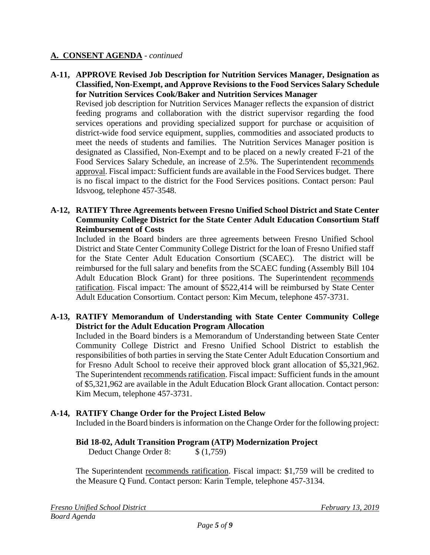**A-11, APPROVE Revised Job Description for Nutrition Services Manager, Designation as Classified, Non-Exempt, and Approve Revisions to the Food Services Salary Schedule for Nutrition Services Cook/Baker and Nutrition Services Manager**

Revised job description for Nutrition Services Manager reflects the expansion of district feeding programs and collaboration with the district supervisor regarding the food services operations and providing specialized support for purchase or acquisition of district-wide food service equipment, supplies, commodities and associated products to meet the needs of students and families. The Nutrition Services Manager position is designated as Classified, Non-Exempt and to be placed on a newly created F-21 of the Food Services Salary Schedule, an increase of 2.5%. The Superintendent recommends approval. Fiscal impact: Sufficient funds are available in the Food Services budget. There is no fiscal impact to the district for the Food Services positions. Contact person: Paul Idsvoog, telephone 457-3548.

### **A-12, RATIFY Three Agreements between Fresno Unified School District and State Center Community College District for the State Center Adult Education Consortium Staff Reimbursement of Costs**

Included in the Board binders are three agreements between Fresno Unified School District and State Center Community College District for the loan of Fresno Unified staff for the State Center Adult Education Consortium (SCAEC). The district will be reimbursed for the full salary and benefits from the SCAEC funding (Assembly Bill 104 Adult Education Block Grant) for three positions. The Superintendent recommends ratification. Fiscal impact: The amount of \$522,414 will be reimbursed by State Center Adult Education Consortium. Contact person: Kim Mecum, telephone 457-3731.

### **A-13, RATIFY Memorandum of Understanding with State Center Community College District for the Adult Education Program Allocation**

Included in the Board binders is a Memorandum of Understanding between State Center Community College District and Fresno Unified School District to establish the responsibilities of both parties in serving the State Center Adult Education Consortium and for Fresno Adult School to receive their approved block grant allocation of \$5,321,962. The Superintendent recommends ratification. Fiscal impact: Sufficient funds in the amount of \$5,321,962 are available in the Adult Education Block Grant allocation. Contact person: Kim Mecum, telephone 457-3731.

### **A-14, RATIFY Change Order for the Project Listed Below**

Included in the Board binders is information on the Change Order for the following project:

### **Bid 18-02, Adult Transition Program (ATP) Modernization Project**

Deduct Change Order 8: \$ (1,759)

The Superintendent recommends ratification. Fiscal impact: \$1,759 will be credited to the Measure Q Fund. Contact person: Karin Temple, telephone 457-3134.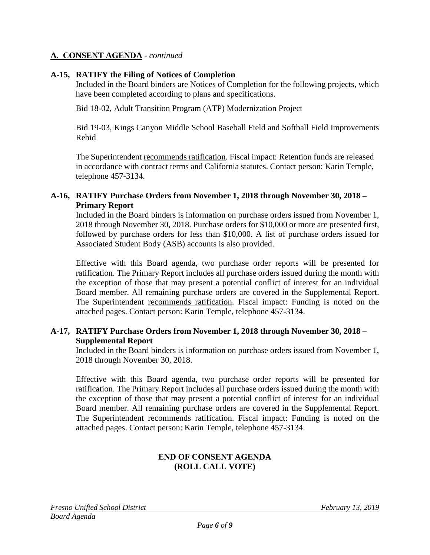### **A-15, RATIFY the Filing of Notices of Completion**

Included in the Board binders are Notices of Completion for the following projects, which have been completed according to plans and specifications.

Bid 18-02, Adult Transition Program (ATP) Modernization Project

Bid 19-03, Kings Canyon Middle School Baseball Field and Softball Field Improvements Rebid

The Superintendent recommends ratification. Fiscal impact: Retention funds are released in accordance with contract terms and California statutes. Contact person: Karin Temple, telephone 457-3134.

#### **A-16, RATIFY Purchase Orders from November 1, 2018 through November 30, 2018 – Primary Report**

Included in the Board binders is information on purchase orders issued from November 1, 2018 through November 30, 2018. Purchase orders for \$10,000 or more are presented first, followed by purchase orders for less than \$10,000. A list of purchase orders issued for Associated Student Body (ASB) accounts is also provided.

Effective with this Board agenda, two purchase order reports will be presented for ratification. The Primary Report includes all purchase orders issued during the month with the exception of those that may present a potential conflict of interest for an individual Board member. All remaining purchase orders are covered in the Supplemental Report. The Superintendent recommends ratification. Fiscal impact: Funding is noted on the attached pages. Contact person: Karin Temple, telephone 457-3134.

### **A-17, RATIFY Purchase Orders from November 1, 2018 through November 30, 2018 – Supplemental Report**

Included in the Board binders is information on purchase orders issued from November 1, 2018 through November 30, 2018.

Effective with this Board agenda, two purchase order reports will be presented for ratification. The Primary Report includes all purchase orders issued during the month with the exception of those that may present a potential conflict of interest for an individual Board member. All remaining purchase orders are covered in the Supplemental Report. The Superintendent recommends ratification. Fiscal impact: Funding is noted on the attached pages. Contact person: Karin Temple, telephone 457-3134.

### **END OF CONSENT AGENDA (ROLL CALL VOTE)**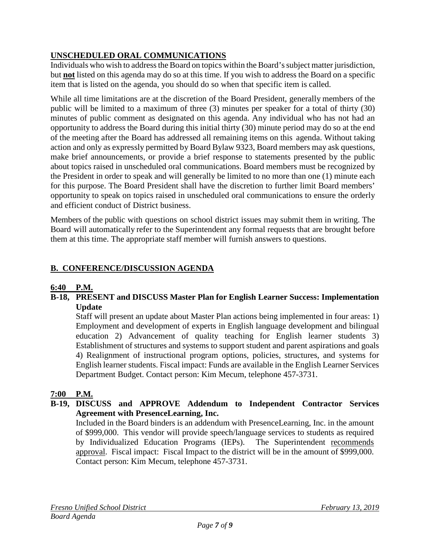# **UNSCHEDULED ORAL COMMUNICATIONS**

Individuals who wish to address the Board on topics within the Board's subject matter jurisdiction, but **not** listed on this agenda may do so at this time. If you wish to address the Board on a specific item that is listed on the agenda, you should do so when that specific item is called.

While all time limitations are at the discretion of the Board President, generally members of the public will be limited to a maximum of three (3) minutes per speaker for a total of thirty (30) minutes of public comment as designated on this agenda. Any individual who has not had an opportunity to address the Board during this initial thirty (30) minute period may do so at the end of the meeting after the Board has addressed all remaining items on this agenda. Without taking action and only as expressly permitted by Board Bylaw 9323, Board members may ask questions, make brief announcements, or provide a brief response to statements presented by the public about topics raised in unscheduled oral communications. Board members must be recognized by the President in order to speak and will generally be limited to no more than one (1) minute each for this purpose. The Board President shall have the discretion to further limit Board members' opportunity to speak on topics raised in unscheduled oral communications to ensure the orderly and efficient conduct of District business.

Members of the public with questions on school district issues may submit them in writing. The Board will automatically refer to the Superintendent any formal requests that are brought before them at this time. The appropriate staff member will furnish answers to questions.

# **B. CONFERENCE/DISCUSSION AGENDA**

# **6:40 P.M.**

### **B-18, PRESENT and DISCUSS Master Plan for English Learner Success: Implementation Update**

Staff will present an update about Master Plan actions being implemented in four areas: 1) Employment and development of experts in English language development and bilingual education 2) Advancement of quality teaching for English learner students 3) Establishment of structures and systems to support student and parent aspirations and goals 4) Realignment of instructional program options, policies, structures, and systems for English learner students. Fiscal impact: Funds are available in the English Learner Services Department Budget. Contact person: Kim Mecum, telephone 457-3731.

# **7:00 P.M.**

### **B-19, DISCUSS and APPROVE Addendum to Independent Contractor Services Agreement with PresenceLearning, Inc.**

Included in the Board binders is an addendum with PresenceLearning, Inc. in the amount of \$999,000. This vendor will provide speech/language services to students as required by Individualized Education Programs (IEPs). The Superintendent recommends approval. Fiscal impact: Fiscal Impact to the district will be in the amount of \$999,000. Contact person: Kim Mecum, telephone 457-3731.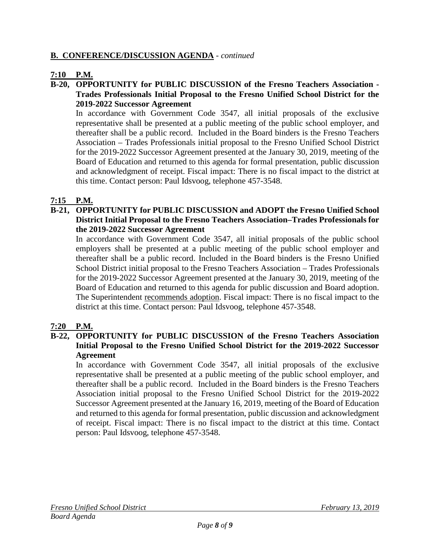### **B. CONFERENCE/DISCUSSION AGENDA** - *continued*

### **7:10 P.M.**

### **B-20, OPPORTUNITY for PUBLIC DISCUSSION of the Fresno Teachers Association - Trades Professionals Initial Proposal to the Fresno Unified School District for the 2019-2022 Successor Agreement**

In accordance with Government Code 3547, all initial proposals of the exclusive representative shall be presented at a public meeting of the public school employer, and thereafter shall be a public record. Included in the Board binders is the Fresno Teachers Association – Trades Professionals initial proposal to the Fresno Unified School District for the 2019-2022 Successor Agreement presented at the January 30, 2019, meeting of the Board of Education and returned to this agenda for formal presentation, public discussion and acknowledgment of receipt. Fiscal impact: There is no fiscal impact to the district at this time. Contact person: Paul Idsvoog, telephone 457-3548.

### **7:15 P.M.**

### **B-21, OPPORTUNITY for PUBLIC DISCUSSION and ADOPT the Fresno Unified School District Initial Proposal to the Fresno Teachers Association–Trades Professionals for the 2019-2022 Successor Agreement**

In accordance with Government Code 3547, all initial proposals of the public school employers shall be presented at a public meeting of the public school employer and thereafter shall be a public record. Included in the Board binders is the Fresno Unified School District initial proposal to the Fresno Teachers Association – Trades Professionals for the 2019-2022 Successor Agreement presented at the January 30, 2019, meeting of the Board of Education and returned to this agenda for public discussion and Board adoption. The Superintendent recommends adoption. Fiscal impact: There is no fiscal impact to the district at this time. Contact person: Paul Idsvoog, telephone 457-3548.

### **7:20 P.M.**

### **B-22, OPPORTUNITY for PUBLIC DISCUSSION of the Fresno Teachers Association Initial Proposal to the Fresno Unified School District for the 2019-2022 Successor Agreement**

In accordance with Government Code 3547, all initial proposals of the exclusive representative shall be presented at a public meeting of the public school employer, and thereafter shall be a public record. Included in the Board binders is the Fresno Teachers Association initial proposal to the Fresno Unified School District for the 2019-2022 Successor Agreement presented at the January 16, 2019, meeting of the Board of Education and returned to this agenda for formal presentation, public discussion and acknowledgment of receipt. Fiscal impact: There is no fiscal impact to the district at this time. Contact person: Paul Idsvoog, telephone 457-3548.